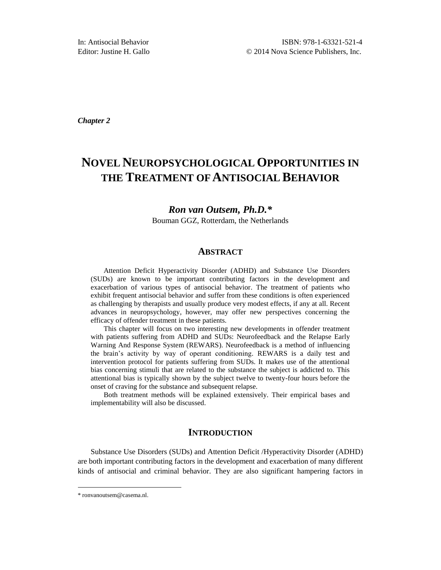*Chapter 2*

# **NOVEL NEUROPSYCHOLOGICAL OPPORTUNITIES IN THE TREATMENT OF ANTISOCIAL BEHAVIOR**

# *Ron van Outsem, Ph.D.\**

Bouman GGZ, Rotterdam, the Netherlands

#### **ABSTRACT**

Attention Deficit Hyperactivity Disorder (ADHD) and Substance Use Disorders (SUDs) are known to be important contributing factors in the development and exacerbation of various types of antisocial behavior. The treatment of patients who exhibit frequent antisocial behavior and suffer from these conditions is often experienced as challenging by therapists and usually produce very modest effects, if any at all. Recent advances in neuropsychology, however, may offer new perspectives concerning the efficacy of offender treatment in these patients.

This chapter will focus on two interesting new developments in offender treatment with patients suffering from ADHD and SUDs: Neurofeedback and the Relapse Early Warning And Response System (REWARS). Neurofeedback is a method of influencing the brain's activity by way of operant conditioning. REWARS is a daily test and intervention protocol for patients suffering from SUDs. It makes use of the attentional bias concerning stimuli that are related to the substance the subject is addicted to. This attentional bias is typically shown by the subject twelve to twenty-four hours before the onset of craving for the substance and subsequent relapse.

Both treatment methods will be explained extensively. Their empirical bases and implementability will also be discussed.

# **INTRODUCTION**

Substance Use Disorders (SUDs) and Attention Deficit /Hyperactivity Disorder (ADHD) are both important contributing factors in the development and exacerbation of many different kinds of antisocial and criminal behavior. They are also significant hampering factors in

 $\overline{a}$ 

[<sup>\\*</sup> ronvanoutsem@casema.nl.](mailto:ronvanoutsem@casema.nl)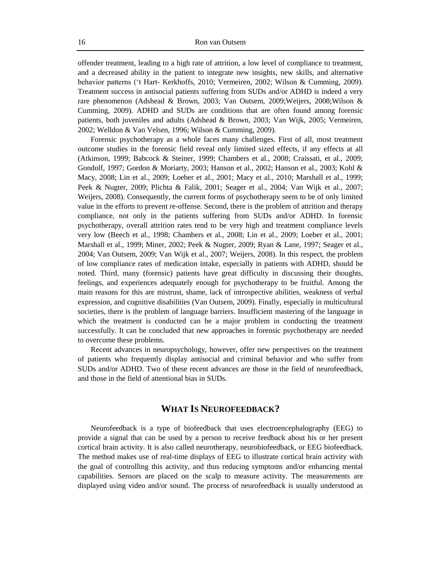offender treatment, leading to a high rate of attrition, a low level of compliance to treatment, and a decreased ability in the patient to integrate new insights, new skills, and alternative behavior patterns ('t Hart- Kerkhoffs, 2010; Vermeiren, 2002; Wilson & Cumming, 2009). Treatment success in antisocial patients suffering from SUDs and/or ADHD is indeed a very rare phenomenon (Adshead & Brown, 2003; Van Outsem, 2009;Weijers, 2008;Wilson & Cumming, 2009). ADHD and SUDs are conditions that are often found among forensic patients, both juveniles and adults (Adshead & Brown, 2003; Van Wijk, 2005; Vermeiren, 2002; Welldon & Van Velsen, 1996; Wilson & Cumming, 2009).

Forensic psychotherapy as a whole faces many challenges. First of all, most treatment outcome studies in the forensic field reveal only limited sized effects, if any effects at all (Atkinson, 1999; Babcock & Steiner, 1999; Chambers et al., 2008; Craissati, et al., 2009; Gondolf, 1997; Gordon & Moriarty, 2003; Hanson et al., 2002; Hanson et al., 2003; Kohl & Macy, 2008; Lin et al., 2009; Loeber et al., 2001; Macy et al., 2010; Marshall et al., 1999; Peek & Nugter, 2009; Plichta & Falik, 2001; Seager et al., 2004; Van Wijk et al., 2007; Weijers, 2008). Consequently, the current forms of psychotherapy seem to be of only limited value in the efforts to prevent re-offense. Second, there is the problem of attrition and therapy compliance, not only in the patients suffering from SUDs and/or ADHD. In forensic psychotherapy, overall attrition rates tend to be very high and treatment compliance levels very low (Beech et al., 1998; Chambers et al., 2008; Lin et al., 2009; Loeber et al., 2001; Marshall et al., 1999; Miner, 2002; Peek & Nugter, 2009; Ryan & Lane, 1997; Seager et al., 2004; Van Outsem, 2009; Van Wijk et al., 2007; Weijers, 2008). In this respect, the problem of low compliance rates of medication intake, especially in patients with ADHD, should be noted. Third, many (forensic) patients have great difficulty in discussing their thoughts, feelings, and experiences adequately enough for psychotherapy to be fruitful. Among the main reasons for this are mistrust, shame, lack of introspective abilities, weakness of verbal expression, and cognitive disabilities (Van Outsem, 2009). Finally, especially in multicultural societies, there is the problem of language barriers. Insufficient mastering of the language in which the treatment is conducted can be a major problem in conducting the treatment successfully. It can be concluded that new approaches in forensic psychotherapy are needed to overcome these problems.

Recent advances in neuropsychology, however, offer new perspectives on the treatment of patients who frequently display antisocial and criminal behavior and who suffer from SUDs and/or ADHD. Two of these recent advances are those in the field of neurofeedback, and those in the field of attentional bias in SUDs.

# **WHAT IS NEUROFEEDBACK?**

Neurofeedback is a type of biofeedback that uses electroencephalography (EEG) to provide a signal that can be used by a person to receive feedback about his or her present cortical brain activity. It is also called neurotherapy, neurobiofeedback, or EEG biofeedback. The method makes use of real-time displays of EEG to illustrate cortical brain activity with the goal of controlling this activity, and thus reducing symptoms and/or enhancing mental capabilities. Sensors are placed on the scalp to measure activity. The measurements are displayed using video and/or sound. The process of neurofeedback is usually understood as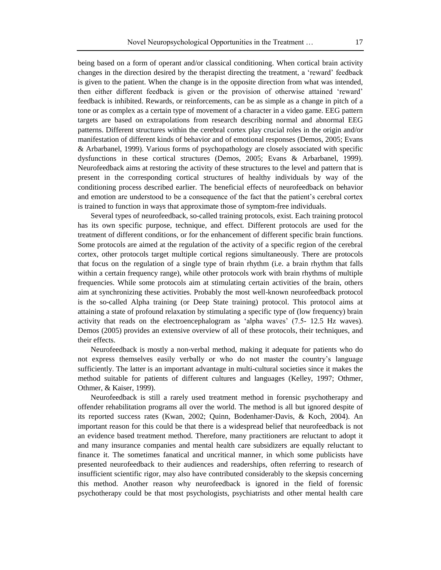being based on a form of operant and/or classical conditioning. When cortical brain activity changes in the direction desired by the therapist directing the treatment, a 'reward' feedback is given to the patient. When the change is in the opposite direction from what was intended, then either different feedback is given or the provision of otherwise attained 'reward' feedback is inhibited. Rewards, or reinforcements, can be as simple as a change in pitch of a tone or as complex as a certain type of movement of a character in a video game. EEG pattern targets are based on extrapolations from research describing normal and abnormal EEG patterns. Different structures within the cerebral cortex play crucial roles in the origin and/or manifestation of different kinds of behavior and of emotional responses (Demos, 2005; Evans & Arbarbanel, 1999). Various forms of psychopathology are closely associated with specific dysfunctions in these cortical structures (Demos, 2005; Evans & Arbarbanel, 1999). Neurofeedback aims at restoring the activity of these structures to the level and pattern that is present in the corresponding cortical structures of healthy individuals by way of the conditioning process described earlier. The beneficial effects of neurofeedback on behavior and emotion are understood to be a consequence of the fact that the patient's cerebral cortex is trained to function in ways that approximate those of symptom-free individuals.

Several types of neurofeedback, so-called training protocols, exist. Each training protocol has its own specific purpose, technique, and effect. Different protocols are used for the treatment of different conditions, or for the enhancement of different specific brain functions. Some protocols are aimed at the regulation of the activity of a specific region of the cerebral cortex, other protocols target multiple cortical regions simultaneously. There are protocols that focus on the regulation of a single type of brain rhythm (i.e. a brain rhythm that falls within a certain frequency range), while other protocols work with brain rhythms of multiple frequencies. While some protocols aim at stimulating certain activities of the brain, others aim at synchronizing these activities. Probably the most well-known neurofeedback protocol is the so-called Alpha training (or Deep State training) protocol. This protocol aims at attaining a state of profound relaxation by stimulating a specific type of (low frequency) brain activity that reads on the electroencephalogram as 'alpha waves'  $(7.5-12.5$  Hz waves). Demos (2005) provides an extensive overview of all of these protocols, their techniques, and their effects.

Neurofeedback is mostly a non-verbal method, making it adequate for patients who do not express themselves easily verbally or who do not master the country's language sufficiently. The latter is an important advantage in multi-cultural societies since it makes the method suitable for patients of different cultures and languages (Kelley, 1997; Othmer, Othmer, & Kaiser, 1999).

Neurofeedback is still a rarely used treatment method in forensic psychotherapy and offender rehabilitation programs all over the world. The method is all but ignored despite of its reported success rates (Kwan, 2002; Quinn, Bodenhamer-Davis, & Koch, 2004). An important reason for this could be that there is a widespread belief that neurofeedback is not an evidence based treatment method. Therefore, many practitioners are reluctant to adopt it and many insurance companies and mental health care subsidizers are equally reluctant to finance it. The sometimes fanatical and uncritical manner, in which some publicists have presented neurofeedback to their audiences and readerships, often referring to research of insufficient scientific rigor, may also have contributed considerably to the skepsis concerning this method. Another reason why neurofeedback is ignored in the field of forensic psychotherapy could be that most psychologists, psychiatrists and other mental health care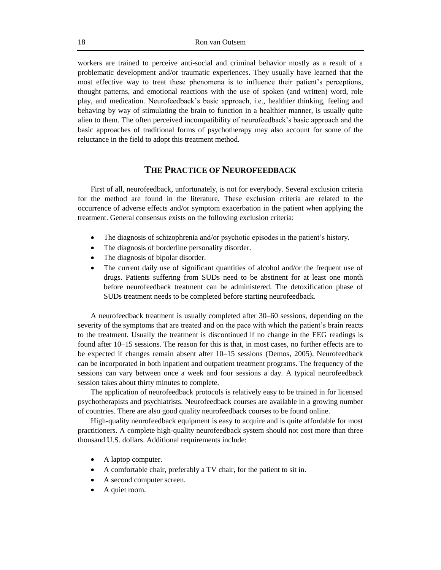workers are trained to perceive anti-social and criminal behavior mostly as a result of a problematic development and/or traumatic experiences. They usually have learned that the most effective way to treat these phenomena is to influence their patient's perceptions, thought patterns, and emotional reactions with the use of spoken (and written) word, role play, and medication. Neurofeedback's basic approach, i.e., healthier thinking, feeling and behaving by way of stimulating the brain to function in a healthier manner, is usually quite alien to them. The often perceived incompatibility of neurofeedback's basic approach and the basic approaches of traditional forms of psychotherapy may also account for some of the reluctance in the field to adopt this treatment method.

# **THE PRACTICE OF NEUROFEEDBACK**

First of all, neurofeedback, unfortunately, is not for everybody. Several exclusion criteria for the method are found in the literature. These exclusion criteria are related to the occurrence of adverse effects and/or symptom exacerbation in the patient when applying the treatment. General consensus exists on the following exclusion criteria:

- The diagnosis of schizophrenia and/or psychotic episodes in the patient's history.
- The diagnosis of borderline personality disorder.
- The diagnosis of bipolar disorder.
- The current daily use of significant quantities of alcohol and/or the frequent use of drugs. Patients suffering from SUDs need to be abstinent for at least one month before neurofeedback treatment can be administered. The detoxification phase of SUDs treatment needs to be completed before starting neurofeedback.

A neurofeedback treatment is usually completed after 30–60 sessions, depending on the severity of the symptoms that are treated and on the pace with which the patient's brain reacts to the treatment. Usually the treatment is discontinued if no change in the EEG readings is found after 10–15 sessions. The reason for this is that, in most cases, no further effects are to be expected if changes remain absent after 10–15 sessions (Demos, 2005). Neurofeedback can be incorporated in both inpatient and outpatient treatment programs. The frequency of the sessions can vary between once a week and four sessions a day. A typical neurofeedback session takes about thirty minutes to complete.

The application of neurofeedback protocols is relatively easy to be trained in for licensed psychotherapists and psychiatrists. Neurofeedback courses are available in a growing number of countries. There are also good quality neurofeedback courses to be found online.

High-quality neurofeedback equipment is easy to acquire and is quite affordable for most practitioners. A complete high-quality neurofeedback system should not cost more than three thousand U.S. dollars. Additional requirements include:

- A laptop computer.
- A comfortable chair, preferably a TV chair, for the patient to sit in.
- A second computer screen.
- A quiet room.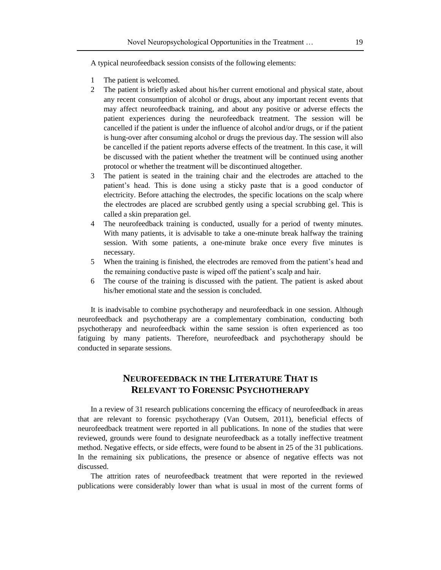A typical neurofeedback session consists of the following elements:

- 1 The patient is welcomed.
- 2 The patient is briefly asked about his/her current emotional and physical state, about any recent consumption of alcohol or drugs, about any important recent events that may affect neurofeedback training, and about any positive or adverse effects the patient experiences during the neurofeedback treatment. The session will be cancelled if the patient is under the influence of alcohol and/or drugs, or if the patient is hung-over after consuming alcohol or drugs the previous day. The session will also be cancelled if the patient reports adverse effects of the treatment. In this case, it will be discussed with the patient whether the treatment will be continued using another protocol or whether the treatment will be discontinued altogether.
- 3 The patient is seated in the training chair and the electrodes are attached to the patient's head. This is done using a sticky paste that is a good conductor of electricity. Before attaching the electrodes, the specific locations on the scalp where the electrodes are placed are scrubbed gently using a special scrubbing gel. This is called a skin preparation gel.
- 4 The neurofeedback training is conducted, usually for a period of twenty minutes. With many patients, it is advisable to take a one-minute break halfway the training session. With some patients, a one-minute brake once every five minutes is necessary.
- 5 When the training is finished, the electrodes are removed from the patient's head and the remaining conductive paste is wiped off the patient's scalp and hair.
- 6 The course of the training is discussed with the patient. The patient is asked about his/her emotional state and the session is concluded.

It is inadvisable to combine psychotherapy and neurofeedback in one session. Although neurofeedback and psychotherapy are a complementary combination, conducting both psychotherapy and neurofeedback within the same session is often experienced as too fatiguing by many patients. Therefore, neurofeedback and psychotherapy should be conducted in separate sessions.

# **NEUROFEEDBACK IN THE LITERATURE THAT IS RELEVANT TO FORENSIC PSYCHOTHERAPY**

In a review of 31 research publications concerning the efficacy of neurofeedback in areas that are relevant to forensic psychotherapy (Van Outsem, 2011), beneficial effects of neurofeedback treatment were reported in all publications. In none of the studies that were reviewed, grounds were found to designate neurofeedback as a totally ineffective treatment method. Negative effects, or side effects, were found to be absent in 25 of the 31 publications. In the remaining six publications, the presence or absence of negative effects was not discussed.

The attrition rates of neurofeedback treatment that were reported in the reviewed publications were considerably lower than what is usual in most of the current forms of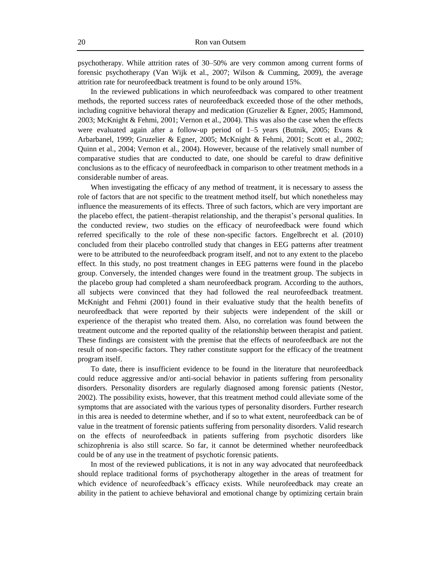psychotherapy. While attrition rates of 30–50% are very common among current forms of forensic psychotherapy (Van Wijk et al., 2007; Wilson & Cumming, 2009), the average attrition rate for neurofeedback treatment is found to be only around 15%.

In the reviewed publications in which neurofeedback was compared to other treatment methods, the reported success rates of neurofeedback exceeded those of the other methods, including cognitive behavioral therapy and medication (Gruzelier & Egner, 2005; Hammond, 2003; McKnight & Fehmi, 2001; Vernon et al., 2004). This was also the case when the effects were evaluated again after a follow-up period of 1–5 years (Butnik, 2005; Evans & Arbarbanel, 1999; Gruzelier & Egner, 2005; McKnight & Fehmi, 2001; Scott et al., 2002; Quinn et al., 2004; Vernon et al., 2004). However, because of the relatively small number of comparative studies that are conducted to date, one should be careful to draw definitive conclusions as to the efficacy of neurofeedback in comparison to other treatment methods in a considerable number of areas.

When investigating the efficacy of any method of treatment, it is necessary to assess the role of factors that are not specific to the treatment method itself, but which nonetheless may influence the measurements of its effects. Three of such factors, which are very important are the placebo effect, the patient–therapist relationship, and the therapist's personal qualities. In the conducted review, two studies on the efficacy of neurofeedback were found which referred specifically to the role of these non-specific factors. Engelbrecht et al. (2010) concluded from their placebo controlled study that changes in EEG patterns after treatment were to be attributed to the neurofeedback program itself, and not to any extent to the placebo effect. In this study, no post treatment changes in EEG patterns were found in the placebo group. Conversely, the intended changes were found in the treatment group. The subjects in the placebo group had completed a sham neurofeedback program. According to the authors, all subjects were convinced that they had followed the real neurofeedback treatment. McKnight and Fehmi (2001) found in their evaluative study that the health benefits of neurofeedback that were reported by their subjects were independent of the skill or experience of the therapist who treated them. Also, no correlation was found between the treatment outcome and the reported quality of the relationship between therapist and patient. These findings are consistent with the premise that the effects of neurofeedback are not the result of non-specific factors. They rather constitute support for the efficacy of the treatment program itself.

To date, there is insufficient evidence to be found in the literature that neurofeedback could reduce aggressive and/or anti-social behavior in patients suffering from personality disorders. Personality disorders are regularly diagnosed among forensic patients (Nestor, 2002). The possibility exists, however, that this treatment method could alleviate some of the symptoms that are associated with the various types of personality disorders. Further research in this area is needed to determine whether, and if so to what extent, neurofeedback can be of value in the treatment of forensic patients suffering from personality disorders. Valid research on the effects of neurofeedback in patients suffering from psychotic disorders like schizophrenia is also still scarce. So far, it cannot be determined whether neurofeedback could be of any use in the treatment of psychotic forensic patients.

In most of the reviewed publications, it is not in any way advocated that neurofeedback should replace traditional forms of psychotherapy altogether in the areas of treatment for which evidence of neurofeedback's efficacy exists. While neurofeedback may create an ability in the patient to achieve behavioral and emotional change by optimizing certain brain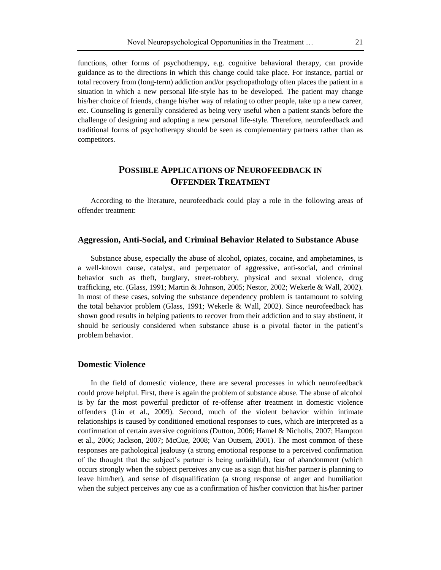functions, other forms of psychotherapy, e.g. cognitive behavioral therapy, can provide guidance as to the directions in which this change could take place. For instance, partial or total recovery from (long-term) addiction and/or psychopathology often places the patient in a situation in which a new personal life-style has to be developed. The patient may change his/her choice of friends, change his/her way of relating to other people, take up a new career, etc. Counseling is generally considered as being very useful when a patient stands before the challenge of designing and adopting a new personal life-style. Therefore, neurofeedback and traditional forms of psychotherapy should be seen as complementary partners rather than as competitors.

# **POSSIBLE APPLICATIONS OF NEUROFEEDBACK IN OFFENDER TREATMENT**

According to the literature, neurofeedback could play a role in the following areas of offender treatment:

#### **Aggression, Anti-Social, and Criminal Behavior Related to Substance Abuse**

Substance abuse, especially the abuse of alcohol, opiates, cocaine, and amphetamines, is a well-known cause, catalyst, and perpetuator of aggressive, anti-social, and criminal behavior such as theft, burglary, street-robbery, physical and sexual violence, drug trafficking, etc. (Glass, 1991; Martin & Johnson, 2005; Nestor, 2002; Wekerle & Wall, 2002). In most of these cases, solving the substance dependency problem is tantamount to solving the total behavior problem (Glass, 1991; Wekerle & Wall, 2002). Since neurofeedback has shown good results in helping patients to recover from their addiction and to stay abstinent, it should be seriously considered when substance abuse is a pivotal factor in the patient's problem behavior.

### **Domestic Violence**

In the field of domestic violence, there are several processes in which neurofeedback could prove helpful. First, there is again the problem of substance abuse. The abuse of alcohol is by far the most powerful predictor of re-offense after treatment in domestic violence offenders (Lin et al., 2009). Second, much of the violent behavior within intimate relationships is caused by conditioned emotional responses to cues, which are interpreted as a confirmation of certain aversive cognitions (Dutton, 2006; Hamel & Nicholls, 2007; Hampton et al., 2006; Jackson, 2007; McCue, 2008; Van Outsem, 2001). The most common of these responses are pathological jealousy (a strong emotional response to a perceived confirmation of the thought that the subject's partner is being unfaithful), fear of abandonment (which occurs strongly when the subject perceives any cue as a sign that his/her partner is planning to leave him/her), and sense of disqualification (a strong response of anger and humiliation when the subject perceives any cue as a confirmation of his/her conviction that his/her partner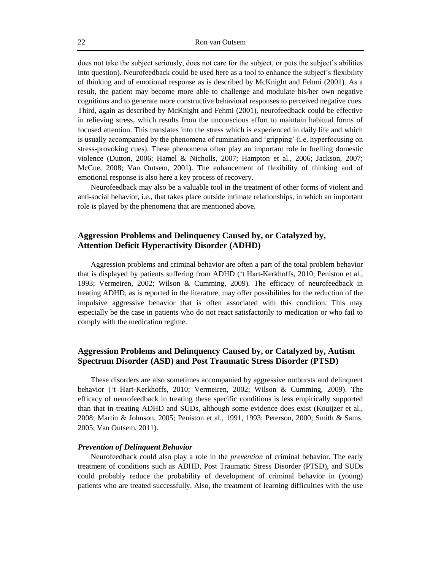does not take the subject seriously, does not care for the subject, or puts the subject's abilities into question). Neurofeedback could be used here as a tool to enhance the subject's flexibility of thinking and of emotional response as is described by McKnight and Fehmi (2001). As a result, the patient may become more able to challenge and modulate his/her own negative cognitions and to generate more constructive behavioral responses to perceived negative cues. Third, again as described by McKnight and Fehmi (2001), neurofeedback could be effective in relieving stress, which results from the unconscious effort to maintain habitual forms of focused attention. This translates into the stress which is experienced in daily life and which is usually accompanied by the phenomena of rumination and ‗gripping' (i.e. hyperfocusing on stress-provoking cues). These phenomena often play an important role in fuelling domestic violence (Dutton, 2006; Hamel & Nicholls, 2007; Hampton et al., 2006; Jackson, 2007; McCue, 2008; Van Outsem, 2001). The enhancement of flexibility of thinking and of emotional response is also here a key process of recovery.

Neurofeedback may also be a valuable tool in the treatment of other forms of violent and anti-social behavior, i.e., that takes place outside intimate relationships, in which an important role is played by the phenomena that are mentioned above.

# **Aggression Problems and Delinquency Caused by, or Catalyzed by, Attention Deficit Hyperactivity Disorder (ADHD)**

Aggression problems and criminal behavior are often a part of the total problem behavior that is displayed by patients suffering from ADHD (‗t Hart-Kerkhoffs, 2010; Peniston et al., 1993; Vermeiren, 2002; Wilson & Cumming, 2009). The efficacy of neurofeedback in treating ADHD, as is reported in the literature, may offer possibilities for the reduction of the impulsive aggressive behavior that is often associated with this condition. This may especially be the case in patients who do not react satisfactorily to medication or who fail to comply with the medication regime.

# **Aggression Problems and Delinquency Caused by, or Catalyzed by, Autism Spectrum Disorder (ASD) and Post Traumatic Stress Disorder (PTSD)**

These disorders are also sometimes accompanied by aggressive outbursts and delinquent behavior (‗t Hart-Kerkhoffs, 2010; Vermeiren, 2002; Wilson & Cumming, 2009). The efficacy of neurofeedback in treating these specific conditions is less empirically supported than that in treating ADHD and SUDs, although some evidence does exist (Kouijzer et al., 2008; Martin & Johnson, 2005; Peniston et al., 1991, 1993; Peterson, 2000; Smith & Sams, 2005; Van Outsem, 2011).

#### *Prevention of Delinquent Behavior*

Neurofeedback could also play a role in the *prevention* of criminal behavior. The early treatment of conditions such as ADHD, Post Traumatic Stress Disorder (PTSD), and SUDs could probably reduce the probability of development of criminal behavior in (young) patients who are treated successfully. Also, the treatment of learning difficulties with the use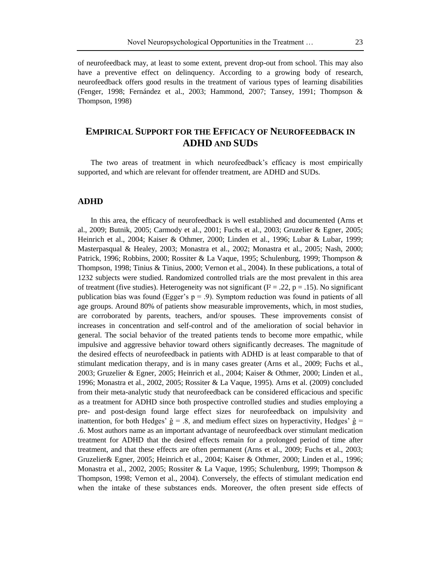of neurofeedback may, at least to some extent, prevent drop-out from school. This may also have a preventive effect on delinquency. According to a growing body of research, neurofeedback offers good results in the treatment of various types of learning disabilities (Fenger, 1998; Fernández et al., 2003; Hammond, 2007; Tansey, 1991; Thompson & Thompson, 1998)

# **EMPIRICAL SUPPORT FOR THE EFFICACY OF NEUROFEEDBACK IN ADHD AND SUDS**

The two areas of treatment in which neurofeedback's efficacy is most empirically supported, and which are relevant for offender treatment, are ADHD and SUDs.

# **ADHD**

In this area, the efficacy of neurofeedback is well established and documented (Arns et al., 2009; Butnik, 2005; Carmody et al., 2001; Fuchs et al., 2003; Gruzelier & Egner, 2005; Heinrich et al., 2004; Kaiser & Othmer, 2000; Linden et al., 1996; Lubar & Lubar, 1999; Masterpasqual & Healey, 2003; Monastra et al., 2002; Monastra et al., 2005; Nash, 2000; Patrick, 1996; Robbins, 2000; Rossiter & La Vaque, 1995; Schulenburg, 1999; Thompson & Thompson, 1998; Tinius & Tinius, 2000; Vernon et al., 2004). In these publications, a total of 1232 subjects were studied. Randomized controlled trials are the most prevalent in this area of treatment (five studies). Heterogeneity was not significant ( $I^2 = .22$ ,  $p = .15$ ). No significant publication bias was found (Egger's  $p = .9$ ). Symptom reduction was found in patients of all age groups. Around 80% of patients show measurable improvements, which, in most studies, are corroborated by parents, teachers, and/or spouses. These improvements consist of increases in concentration and self-control and of the amelioration of social behavior in general. The social behavior of the treated patients tends to become more empathic, while impulsive and aggressive behavior toward others significantly decreases. The magnitude of the desired effects of neurofeedback in patients with ADHD is at least comparable to that of stimulant medication therapy, and is in many cases greater (Arns et al., 2009; Fuchs et al., 2003; Gruzelier & Egner, 2005; Heinrich et al., 2004; Kaiser & Othmer, 2000; Linden et al., 1996; Monastra et al., 2002, 2005; Rossiter & La Vaque, 1995). Arns et al. (2009) concluded from their meta-analytic study that neurofeedback can be considered efficacious and specific as a treatment for ADHD since both prospective controlled studies and studies employing a pre- and post-design found large effect sizes for neurofeedback on impulsivity and inattention, for both Hedges'  $\hat{g} = .8$ , and medium effect sizes on hyperactivity, Hedges'  $\hat{g} =$ .6. Most authors name as an important advantage of neurofeedback over stimulant medication treatment for ADHD that the desired effects remain for a prolonged period of time after treatment, and that these effects are often permanent (Arns et al., 2009; Fuchs et al., 2003; Gruzelier& Egner, 2005; Heinrich et al., 2004; Kaiser & Othmer, 2000; Linden et al., 1996; Monastra et al., 2002, 2005; Rossiter & La Vaque, 1995; Schulenburg, 1999; Thompson & Thompson, 1998; Vernon et al., 2004). Conversely, the effects of stimulant medication end when the intake of these substances ends. Moreover, the often present side effects of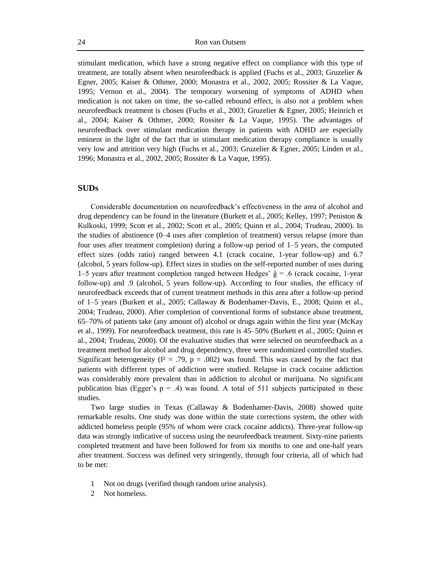stimulant medication, which have a strong negative effect on compliance with this type of treatment, are totally absent when neurofeedback is applied (Fuchs et al., 2003; Gruzelier & Egner, 2005; Kaiser & Othmer, 2000; Monastra et al., 2002, 2005; Rossiter & La Vaque, 1995; Vernon et al., 2004). The temporary worsening of symptoms of ADHD when medication is not taken on time, the so-called rebound effect, is also not a problem when neurofeedback treatment is chosen (Fuchs et al., 2003; Gruzelier & Egner, 2005; Heinrich et al., 2004; Kaiser & Othmer, 2000; Rossiter & La Vaque, 1995). The advantages of neurofeedback over stimulant medication therapy in patients with ADHD are especially eminent in the light of the fact that in stimulant medication therapy compliance is usually very low and attrition very high (Fuchs et al., 2003; Gruzelier & Egner, 2005; Linden et al., 1996; Monastra et al., 2002, 2005; Rossiter & La Vaque, 1995).

#### **SUDs**

Considerable documentation on neurofeedback's effectiveness in the area of alcohol and drug dependency can be found in the literature (Burkett et al., 2005; Kelley, 1997; Peniston & Kulkoski, 1999; Scott et al., 2002; Scott et al., 2005; Quinn et al., 2004; Trudeau, 2000). In the studies of abstinence (0–4 uses after completion of treatment) versus relapse (more than four uses after treatment completion) during a follow-up period of 1–5 years, the computed effect sizes (odds ratio) ranged between 4.1 (crack cocaine, 1-year follow-up) and 6.7 (alcohol, 5 years follow-up). Effect sizes in studies on the self-reported number of uses during 1–5 years after treatment completion ranged between Hedges'  $\hat{g} = .6$  (crack cocaine, 1-year follow-up) and .9 (alcohol, 5 years follow-up). According to four studies, the efficacy of neurofeedback exceeds that of current treatment methods in this area after a follow-up period of 1–5 years (Burkett et al., 2005; Callaway & Bodenhamer-Davis, E., 2008; Quinn et al., 2004; Trudeau, 2000). After completion of conventional forms of substance abuse treatment, 65–70% of patients take (any amount of) alcohol or drugs again within the first year (McKay et al., 1999). For neurofeedback treatment, this rate is 45–50% (Burkett et al., 2005; Quinn et al., 2004; Trudeau, 2000). Of the evaluative studies that were selected on neurofeedback as a treatment method for alcohol and drug dependency, three were randomized controlled studies. Significant heterogeneity ( $I^2 = .79$ ,  $p = .002$ ) was found. This was caused by the fact that patients with different types of addiction were studied. Relapse in crack cocaine addiction was considerably more prevalent than in addiction to alcohol or marijuana. No significant publication bias (Egger's  $p = .4$ ) was found. A total of 511 subjects participated in these studies.

Two large studies in Texas (Callaway & Bodenhamer-Davis, 2008) showed quite remarkable results. One study was done within the state corrections system, the other with addicted homeless people (95% of whom were crack cocaine addicts). Three-year follow-up data was strongly indicative of success using the neurofeedback treatment. Sixty-nine patients completed treatment and have been followed for from six months to one and one-half years after treatment. Success was defined very stringently, through four criteria, all of which had to be met:

- 1 Not on drugs (verified though random urine analysis).
- 2 Not homeless.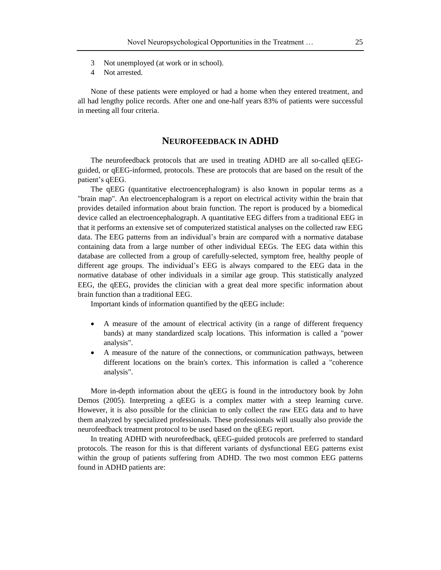- 3 Not unemployed (at work or in school).
- 4 Not arrested.

None of these patients were employed or had a home when they entered treatment, and all had lengthy police records. After one and one-half years 83% of patients were successful in meeting all four criteria.

# **NEUROFEEDBACK IN ADHD**

The neurofeedback protocols that are used in treating ADHD are all so-called qEEGguided, or qEEG-informed, protocols. These are protocols that are based on the result of the patient's qEEG.

The qEEG (quantitative electroencephalogram) is also known in popular terms as a "brain map". An electroencephalogram is a report on electrical activity within the brain that provides detailed information about brain function. The report is produced by a biomedical device called an electroencephalograph. A quantitative EEG differs from a traditional EEG in that it performs an extensive set of computerized statistical analyses on the collected raw EEG data. The EEG patterns from an individual's brain are compared with a normative database containing data from a large number of other individual EEGs. The EEG data within this database are collected from a group of carefully-selected, symptom free, healthy people of different age groups. The individual's EEG is always compared to the EEG data in the normative database of other individuals in a similar age group. This statistically analyzed EEG, the qEEG, provides the clinician with a great deal more specific information about brain function than a traditional EEG.

Important kinds of information quantified by the qEEG include:

- A measure of the amount of electrical activity (in a range of different frequency bands) at many standardized scalp locations. This information is called a "power analysis".
- A measure of the nature of the connections, or communication pathways, between different locations on the brain's cortex. This information is called a "coherence analysis".

More in-depth information about the qEEG is found in the introductory book by John Demos (2005). Interpreting a qEEG is a complex matter with a steep learning curve. However, it is also possible for the clinician to only collect the raw EEG data and to have them analyzed by specialized professionals. These professionals will usually also provide the neurofeedback treatment protocol to be used based on the qEEG report.

In treating ADHD with neurofeedback, qEEG-guided protocols are preferred to standard protocols. The reason for this is that different variants of dysfunctional EEG patterns exist within the group of patients suffering from ADHD. The two most common EEG patterns found in ADHD patients are: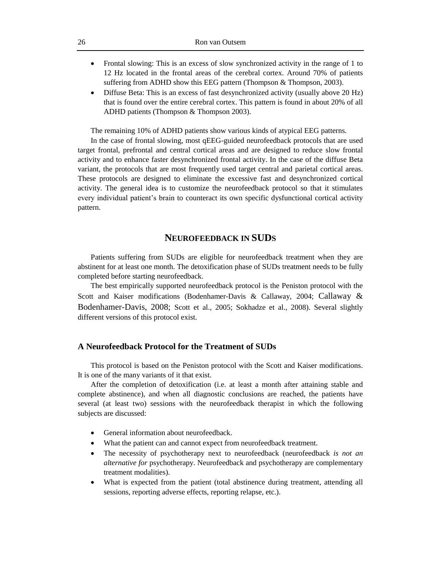- Frontal slowing: This is an excess of slow synchronized activity in the range of 1 to 12 Hz located in the frontal areas of the cerebral cortex. Around 70% of patients suffering from ADHD show this EEG pattern (Thompson & Thompson, 2003).
- Diffuse Beta: This is an excess of fast desynchronized activity (usually above 20 Hz) that is found over the entire cerebral cortex. This pattern is found in about 20% of all ADHD patients (Thompson & Thompson 2003).

The remaining 10% of ADHD patients show various kinds of atypical EEG patterns.

In the case of frontal slowing, most qEEG-guided neurofeedback protocols that are used target frontal, prefrontal and central cortical areas and are designed to reduce slow frontal activity and to enhance faster desynchronized frontal activity. In the case of the diffuse Beta variant, the protocols that are most frequently used target central and parietal cortical areas. These protocols are designed to eliminate the excessive fast and desynchronized cortical activity. The general idea is to customize the neurofeedback protocol so that it stimulates every individual patient's brain to counteract its own specific dysfunctional cortical activity pattern.

# **NEUROFEEDBACK IN SUDS**

Patients suffering from SUDs are eligible for neurofeedback treatment when they are abstinent for at least one month. The detoxification phase of SUDs treatment needs to be fully completed before starting neurofeedback.

The best empirically supported neurofeedback protocol is the Peniston protocol with the Scott and Kaiser modifications (Bodenhamer-Davis & Callaway, 2004; Callaway & Bodenhamer-Davis, 2008; Scott et al., 2005; Sokhadze et al., 2008). Several slightly different versions of this protocol exist.

### **A Neurofeedback Protocol for the Treatment of SUDs**

This protocol is based on the Peniston protocol with the Scott and Kaiser modifications. It is one of the many variants of it that exist.

After the completion of detoxification (i.e. at least a month after attaining stable and complete abstinence), and when all diagnostic conclusions are reached, the patients have several (at least two) sessions with the neurofeedback therapist in which the following subjects are discussed:

- General information about neurofeedback.
- What the patient can and cannot expect from neurofeedback treatment.
- The necessity of psychotherapy next to neurofeedback (neurofeedback *is not an alternative for* psychotherapy. Neurofeedback and psychotherapy are complementary treatment modalities).
- What is expected from the patient (total abstinence during treatment, attending all sessions, reporting adverse effects, reporting relapse, etc.).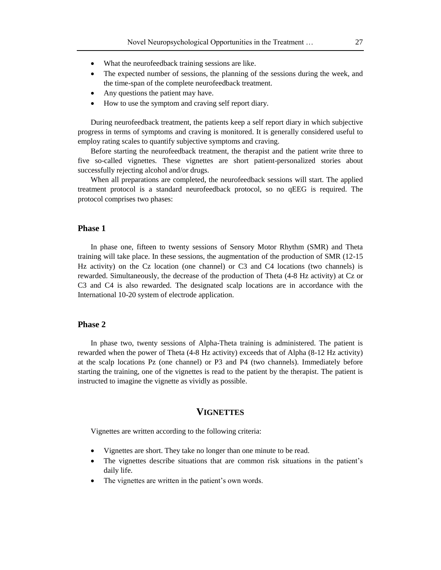- What the neurofeedback training sessions are like.
- The expected number of sessions, the planning of the sessions during the week, and the time-span of the complete neurofeedback treatment.
- Any questions the patient may have.
- How to use the symptom and craving self report diary.

During neurofeedback treatment, the patients keep a self report diary in which subjective progress in terms of symptoms and craving is monitored. It is generally considered useful to employ rating scales to quantify subjective symptoms and craving.

Before starting the neurofeedback treatment, the therapist and the patient write three to five so-called vignettes. These vignettes are short patient-personalized stories about successfully rejecting alcohol and/or drugs.

When all preparations are completed, the neurofeedback sessions will start. The applied treatment protocol is a standard neurofeedback protocol, so no qEEG is required. The protocol comprises two phases:

#### **Phase 1**

In phase one, fifteen to twenty sessions of Sensory Motor Rhythm (SMR) and Theta training will take place. In these sessions, the augmentation of the production of SMR (12-15 Hz activity) on the Cz location (one channel) or C3 and C4 locations (two channels) is rewarded. Simultaneously, the decrease of the production of Theta (4-8 Hz activity) at Cz or C3 and C4 is also rewarded. The designated scalp locations are in accordance with the International 10-20 system of electrode application.

# **Phase 2**

In phase two, twenty sessions of Alpha-Theta training is administered. The patient is rewarded when the power of Theta (4-8 Hz activity) exceeds that of Alpha (8-12 Hz activity) at the scalp locations Pz (one channel) or P3 and P4 (two channels). Immediately before starting the training, one of the vignettes is read to the patient by the therapist. The patient is instructed to imagine the vignette as vividly as possible.

# **VIGNETTES**

Vignettes are written according to the following criteria:

- Vignettes are short. They take no longer than one minute to be read.
- The vignettes describe situations that are common risk situations in the patient's daily life.
- The vignettes are written in the patient's own words.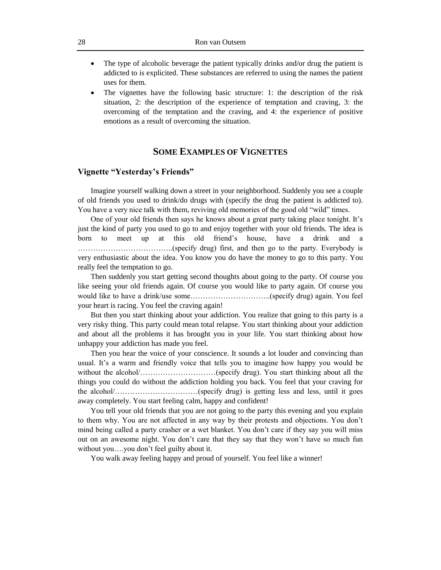- The type of alcoholic beverage the patient typically drinks and/or drug the patient is addicted to is explicited. These substances are referred to using the names the patient uses for them.
- The vignettes have the following basic structure: 1: the description of the risk situation, 2: the description of the experience of temptation and craving, 3: the overcoming of the temptation and the craving, and 4: the experience of positive emotions as a result of overcoming the situation.

# **SOME EXAMPLES OF VIGNETTES**

### **Vignette "Yesterday's Friends"**

Imagine yourself walking down a street in your neighborhood. Suddenly you see a couple of old friends you used to drink/do drugs with (specify the drug the patient is addicted to). You have a very nice talk with them, reviving old memories of the good old "wild" times.

One of your old friends then says he knows about a great party taking place tonight. It's just the kind of party you used to go to and enjoy together with your old friends. The idea is born to meet up at this old friend's house, have a drink and ………………………………..(specify drug) first, and then go to the party. Everybody is very enthusiastic about the idea. You know you do have the money to go to this party. You really feel the temptation to go.

Then suddenly you start getting second thoughts about going to the party. Of course you like seeing your old friends again. Of course you would like to party again. Of course you would like to have a drink/use some…………………………..(specify drug) again. You feel your heart is racing. You feel the craving again!

But then you start thinking about your addiction. You realize that going to this party is a very risky thing. This party could mean total relapse. You start thinking about your addiction and about all the problems it has brought you in your life. You start thinking about how unhappy your addiction has made you feel.

Then you hear the voice of your conscience. It sounds a lot louder and convincing than usual. It's a warm and friendly voice that tells you to imagine how happy you would be without the alcohol/………………………………(specify drug). You start thinking about all the things you could do without the addiction holding you back. You feel that your craving for the alcohol/……………………………(specify drug) is getting less and less, until it goes away completely. You start feeling calm, happy and confident!

You tell your old friends that you are not going to the party this evening and you explain to them why. You are not affected in any way by their protests and objections. You don't mind being called a party crasher or a wet blanket. You don't care if they say you will miss out on an awesome night. You don't care that they say that they won't have so much fun without you….you don't feel guilty about it.

You walk away feeling happy and proud of yourself. You feel like a winner!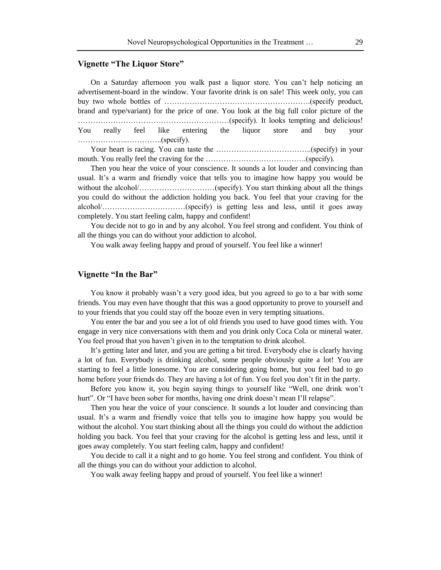# **Vignette "The Liquor Store"**

On a Saturday afternoon you walk past a liquor store. You can't help noticing an advertisement-board in the window. Your favorite drink is on sale! This week only, you can buy two whole bottles of ………………………………………………….(specify product, brand and type/variant) for the price of one. You look at the big full color picture of the ……………………………………………………(specify). It looks tempting and delicious! You really feel like entering the liquor store and buy your ………………..…………..(specify).

Your heart is racing. You can taste the ………………………………..(specify) in your mouth. You really feel the craving for the ………………………………………(specify).

Then you hear the voice of your conscience. It sounds a lot louder and convincing than usual. It's a warm and friendly voice that tells you to imagine how happy you would be without the alcohol/……………………………………(specify). You start thinking about all the things you could do without the addiction holding you back. You feel that your craving for the alcohol/……………………………(specify) is getting less and less, until it goes away completely. You start feeling calm, happy and confident!

You decide not to go in and by any alcohol. You feel strong and confident. You think of all the things you can do without your addiction to alcohol.

You walk away feeling happy and proud of yourself. You feel like a winner!

# **Vignette "In the Bar"**

You know it probably wasn't a very good idea, but you agreed to go to a bar with some friends. You may even have thought that this was a good opportunity to prove to yourself and to your friends that you could stay off the booze even in very tempting situations.

You enter the bar and you see a lot of old friends you used to have good times with. You engage in very nice conversations with them and you drink only Coca Cola or mineral water. You feel proud that you haven't given in to the temptation to drink alcohol.

It's getting later and later, and you are getting a bit tired. Everybody else is clearly having a lot of fun. Everybody is drinking alcohol, some people obviously quite a lot! You are starting to feel a little lonesome. You are considering going home, but you feel bad to go home before your friends do. They are having a lot of fun. You feel you don't fit in the party.

Before you know it, you begin saying things to yourself like "Well, one drink won't hurt". Or "I have been sober for months, having one drink doesn't mean I'll relapse".

Then you hear the voice of your conscience. It sounds a lot louder and convincing than usual. It's a warm and friendly voice that tells you to imagine how happy you would be without the alcohol. You start thinking about all the things you could do without the addiction holding you back. You feel that your craving for the alcohol is getting less and less, until it goes away completely. You start feeling calm, happy and confident!

You decide to call it a night and to go home. You feel strong and confident. You think of all the things you can do without your addiction to alcohol.

You walk away feeling happy and proud of yourself. You feel like a winner!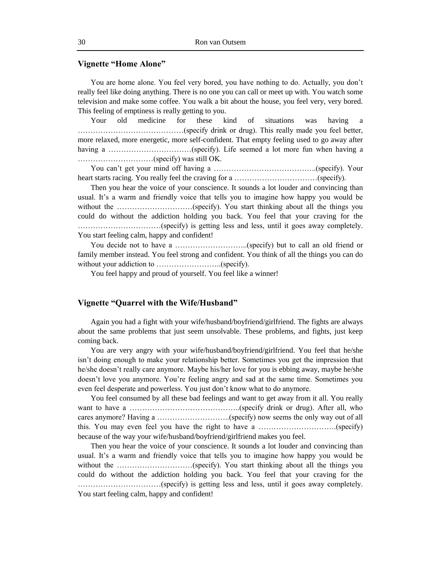#### **Vignette "Home Alone"**

You are home alone. You feel very bored, you have nothing to do. Actually, you don't really feel like doing anything. There is no one you can call or meet up with. You watch some television and make some coffee. You walk a bit about the house, you feel very, very bored. This feeling of emptiness is really getting to you.

Your old medicine for these kind of situations was having a ……………………………………(specify drink or drug). This really made you feel better, more relaxed, more energetic, more self-confident. That empty feeling used to go away after having a ……………………………(specify). Life seemed a lot more fun when having a …………………………(specify) was still OK.

You can't get your mind off having a ………………………………………(specify). Your heart starts racing. You really feel the craving for a ……………………………(specify).

Then you hear the voice of your conscience. It sounds a lot louder and convincing than usual. It's a warm and friendly voice that tells you to imagine how happy you would be without the ……………………………(specify). You start thinking about all the things you could do without the addiction holding you back. You feel that your craving for the ……………………………(specify) is getting less and less, until it goes away completely. You start feeling calm, happy and confident!

You decide not to have a ………………………..(specify) but to call an old friend or family member instead. You feel strong and confident. You think of all the things you can do without your addiction to ……………………..(specify).

You feel happy and proud of yourself. You feel like a winner!

#### **Vignette "Quarrel with the Wife/Husband"**

Again you had a fight with your wife/husband/boyfriend/girlfriend. The fights are always about the same problems that just seem unsolvable. These problems, and fights, just keep coming back.

You are very angry with your wife/husband/boyfriend/girlfriend. You feel that he/she isn't doing enough to make your relationship better. Sometimes you get the impression that he/she doesn't really care anymore. Maybe his/her love for you is ebbing away, maybe he/she doesn't love you anymore. You're feeling angry and sad at the same time. Sometimes you even feel desperate and powerless. You just don't know what to do anymore.

You feel consumed by all these bad feelings and want to get away from it all. You really want to have a …………………………………………….(specify drink or drug). After all, who cares anymore? Having a ………………………..(specify) now seems the only way out of all this. You may even feel you have the right to have a ………………………….(specify) because of the way your wife/husband/boyfriend/girlfriend makes you feel.

Then you hear the voice of your conscience. It sounds a lot louder and convincing than usual. It's a warm and friendly voice that tells you to imagine how happy you would be without the ……………………………(specify). You start thinking about all the things you could do without the addiction holding you back. You feel that your craving for the ……………………………(specify) is getting less and less, until it goes away completely. You start feeling calm, happy and confident!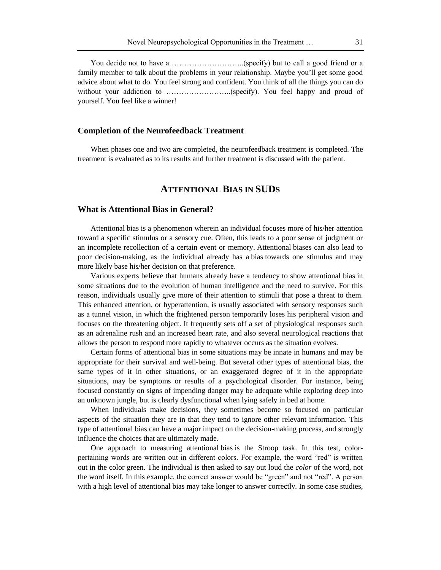You decide not to have a ………………………..(specify) but to call a good friend or a family member to talk about the problems in your relationship. Maybe you'll get some good advice about what to do. You feel strong and confident. You think of all the things you can do without your addiction to ……………………..(specify). You feel happy and proud of yourself. You feel like a winner!

#### **Completion of the Neurofeedback Treatment**

When phases one and two are completed, the neurofeedback treatment is completed. The treatment is evaluated as to its results and further treatment is discussed with the patient.

# **ATTENTIONAL BIAS IN SUDS**

#### **What is Attentional Bias in General?**

Attentional bias is a phenomenon wherein an individual focuses more of his/her attention toward a specific stimulus or a sensory cue. Often, this leads to a poor sense of judgment or an incomplete recollection of a certain event or memory. Attentional biases can also lead to poor decision-making, as the individual already has a bias towards one stimulus and may more likely base his/her decision on that preference.

Various experts believe that humans already have a tendency to show attentional bias in some situations due to the evolution of human intelligence and the need to survive. For this reason, individuals usually give more of their attention to stimuli that pose a threat to them. This enhanced attention, or hyperattention, is usually associated with sensory responses such as a tunnel vision, in which the frightened person temporarily loses his peripheral vision and focuses on the threatening object. It frequently sets off a set of physiological responses such as an adrenaline rush and an increased heart rate, and also several neurological reactions that allows the person to respond more rapidly to whatever occurs as the situation evolves.

Certain forms of attentional bias in some situations may be innate in humans and may be appropriate for their survival and well-being. But several other types of attentional bias, the same types of it in other situations, or an exaggerated degree of it in the appropriate situations, may be symptoms or results of a psychological disorder. For instance, being focused constantly on signs of impending danger may be adequate while exploring deep into an unknown jungle, but is clearly dysfunctional when lying safely in bed at home.

When individuals make decisions, they sometimes become so focused on particular aspects of the situation they are in that they tend to ignore other relevant information. This type of attentional bias can have a major impact on the decision-making process, and strongly influence the choices that are ultimately made.

One approach to measuring attentional bias is the Stroop task. In this test, colorpertaining words are written out in different colors. For example, the word "red" is written out in the color green. The individual is then asked to say out loud the *color* of the word, not the word itself. In this example, the correct answer would be "green" and not "red". A person with a high level of attentional bias may take longer to answer correctly. In some case studies,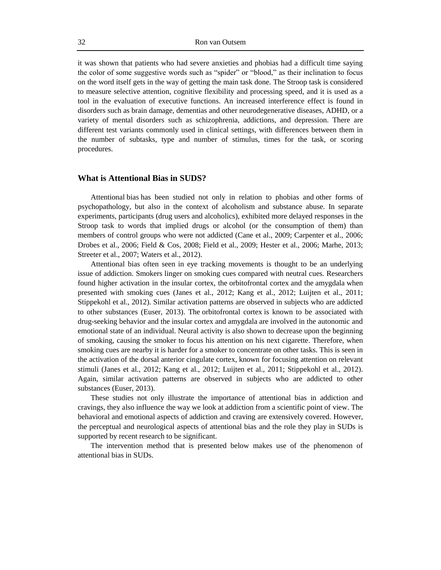it was shown that patients who had severe anxieties and phobias had a difficult time saying the color of some suggestive words such as "spider" or "blood," as their inclination to focus on the word itself gets in the way of getting the main task done. The Stroop task is considered to measure selective attention, cognitive flexibility and processing speed, and it is used as a tool in the evaluation of executive functions. An increased interference effect is found in disorders such as brain damage, dementias and other neurodegenerative diseases, ADHD, or a variety of mental disorders such as schizophrenia, addictions, and depression. There are different test variants commonly used in clinical settings, with differences between them in the number of subtasks, type and number of stimulus, times for the task, or scoring procedures.

#### **What is Attentional Bias in SUDS?**

Attentional bias has been studied not only in relation to phobias and other forms of psychopathology, but also in the context of alcoholism and substance abuse. In separate experiments, participants (drug users and alcoholics), exhibited more delayed responses in the Stroop task to words that implied drugs or alcohol (or the consumption of them) than members of control groups who were not addicted (Cane et al., 2009; Carpenter et al., 2006; Drobes et al., 2006; Field & Cos, 2008; Field et al., 2009; Hester et al., 2006; Marhe, 2013; Streeter et al., 2007; Waters et al., 2012).

Attentional bias often seen in eye tracking movements is thought to be an underlying issue of addiction. Smokers linger on smoking cues compared with neutral cues. Researchers found higher activation in the insular cortex, the orbitofrontal cortex and the amygdala when presented with smoking cues (Janes et al., 2012; Kang et al., 2012; Luijten et al., 2011; Stippekohl et al., 2012). Similar activation patterns are observed in subjects who are addicted to other substances (Euser, 2013). The orbitofrontal cortex is known to be associated with drug-seeking behavior and the insular cortex and amygdala are involved in the autonomic and emotional state of an individual. Neural activity is also shown to decrease upon the beginning of smoking, causing the smoker to focus his attention on his next cigarette. Therefore, when smoking cues are nearby it is harder for a smoker to concentrate on other tasks. This is seen in the activation of the dorsal anterior cingulate cortex, known for focusing attention on relevant stimuli (Janes et al., 2012; Kang et al., 2012; Luijten et al., 2011; Stippekohl et al., 2012). Again, similar activation patterns are observed in subjects who are addicted to other substances (Euser, 2013).

These studies not only illustrate the importance of attentional bias in addiction and cravings, they also influence the way we look at addiction from a scientific point of view. The behavioral and emotional aspects of addiction and craving are extensively covered. However, the perceptual and neurological aspects of attentional bias and the role they play in SUDs is supported by recent research to be significant.

The intervention method that is presented below makes use of the phenomenon of attentional bias in SUDs.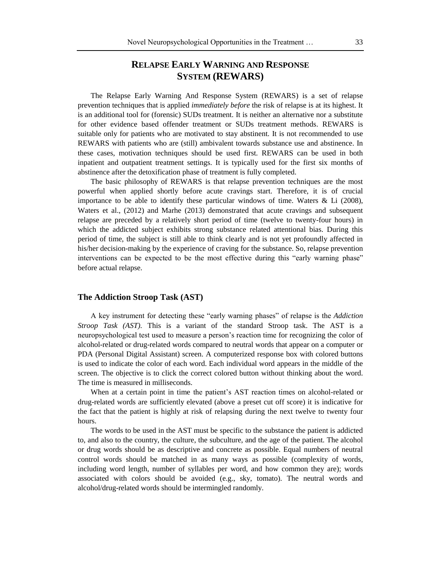# **RELAPSE EARLY WARNING AND RESPONSE SYSTEM (REWARS)**

The Relapse Early Warning And Response System (REWARS) is a set of relapse prevention techniques that is applied *immediately before* the risk of relapse is at its highest. It is an additional tool for (forensic) SUDs treatment. It is neither an alternative nor a substitute for other evidence based offender treatment or SUDs treatment methods. REWARS is suitable only for patients who are motivated to stay abstinent. It is not recommended to use REWARS with patients who are (still) ambivalent towards substance use and abstinence. In these cases, motivation techniques should be used first. REWARS can be used in both inpatient and outpatient treatment settings. It is typically used for the first six months of abstinence after the detoxification phase of treatment is fully completed.

The basic philosophy of REWARS is that relapse prevention techniques are the most powerful when applied shortly before acute cravings start. Therefore, it is of crucial importance to be able to identify these particular windows of time. Waters  $\&$  Li (2008), Waters et al., (2012) and Marhe (2013) demonstrated that acute cravings and subsequent relapse are preceded by a relatively short period of time (twelve to twenty-four hours) in which the addicted subject exhibits strong substance related attentional bias. During this period of time, the subject is still able to think clearly and is not yet profoundly affected in his/her decision-making by the experience of craving for the substance. So, relapse prevention interventions can be expected to be the most effective during this "early warning phase" before actual relapse.

# **The Addiction Stroop Task (AST)**

A key instrument for detecting these "early warning phases" of relapse is the *Addiction Stroop Task (AST).* This is a variant of the standard Stroop task. The AST is a neuropsychological test used to measure a person's reaction time for recognizing the color of alcohol-related or drug-related words compared to neutral words that appear on a computer or PDA (Personal Digital Assistant) screen. A computerized response box with colored buttons is used to indicate the color of each word. Each individual word appears in the middle of the screen. The objective is to click the correct colored button without thinking about the word. The time is measured in milliseconds.

When at a certain point in time the patient's AST reaction times on alcohol-related or drug-related words are sufficiently elevated (above a preset cut off score) it is indicative for the fact that the patient is highly at risk of relapsing during the next twelve to twenty four hours.

The words to be used in the AST must be specific to the substance the patient is addicted to, and also to the country, the culture, the subculture, and the age of the patient. The alcohol or drug words should be as descriptive and concrete as possible. Equal numbers of neutral control words should be matched in as many ways as possible (complexity of words, including word length, number of syllables per word, and how common they are); words associated with colors should be avoided (e.g., sky, tomato). The neutral words and alcohol/drug-related words should be intermingled randomly.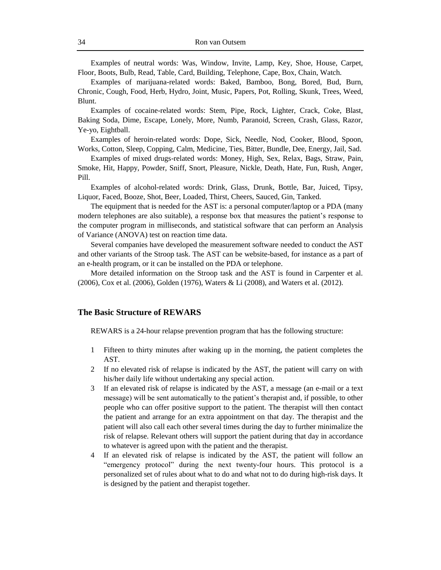Examples of neutral words: Was, Window, Invite, Lamp, Key, Shoe, House, Carpet, Floor, Boots, Bulb, Read, Table, Card, Building, Telephone, Cape, Box, Chain, Watch.

Examples of marijuana-related words: Baked, Bamboo, Bong, Bored, Bud, Burn, Chronic, Cough, Food, Herb, Hydro, Joint, Music, Papers, Pot, Rolling, Skunk, Trees, Weed, Blunt.

Examples of cocaine-related words: Stem, Pipe, Rock, Lighter, Crack, Coke, Blast, Baking Soda, Dime, Escape, Lonely, More, Numb, Paranoid, Screen, Crash, Glass, Razor, Ye-yo, Eightball.

Examples of heroin-related words: Dope, Sick, Needle, Nod, Cooker, Blood, Spoon, Works, Cotton, Sleep, Copping, Calm, Medicine, Ties, Bitter, Bundle, Dee, Energy, Jail, Sad.

Examples of mixed drugs-related words: Money, High, Sex, Relax, Bags, Straw, Pain, Smoke, Hit, Happy, Powder, Sniff, Snort, Pleasure, Nickle, Death, Hate, Fun, Rush, Anger, Pill.

Examples of alcohol-related words: Drink, Glass, Drunk, Bottle, Bar, Juiced, Tipsy, Liquor, Faced, Booze, Shot, Beer, Loaded, Thirst, Cheers, Sauced, Gin, Tanked.

The equipment that is needed for the AST is: a personal computer/laptop or a PDA (many modern telephones are also suitable), a response box that measures the patient's response to the computer program in milliseconds, and statistical software that can perform an Analysis of Variance (ANOVA) test on reaction time data.

Several companies have developed the measurement software needed to conduct the AST and other variants of the Stroop task. The AST can be website-based, for instance as a part of an e-health program, or it can be installed on the PDA or telephone.

More detailed information on the Stroop task and the AST is found in Carpenter et al. (2006), Cox et al. (2006), Golden (1976), Waters & Li (2008), and Waters et al. (2012).

## **The Basic Structure of REWARS**

REWARS is a 24-hour relapse prevention program that has the following structure:

- 1 Fifteen to thirty minutes after waking up in the morning, the patient completes the AST.
- 2 If no elevated risk of relapse is indicated by the AST, the patient will carry on with his/her daily life without undertaking any special action.
- 3 If an elevated risk of relapse is indicated by the AST, a message (an e-mail or a text message) will be sent automatically to the patient's therapist and, if possible, to other people who can offer positive support to the patient. The therapist will then contact the patient and arrange for an extra appointment on that day. The therapist and the patient will also call each other several times during the day to further minimalize the risk of relapse. Relevant others will support the patient during that day in accordance to whatever is agreed upon with the patient and the therapist.
- 4 If an elevated risk of relapse is indicated by the AST, the patient will follow an "emergency protocol" during the next twenty-four hours. This protocol is a personalized set of rules about what to do and what not to do during high-risk days. It is designed by the patient and therapist together.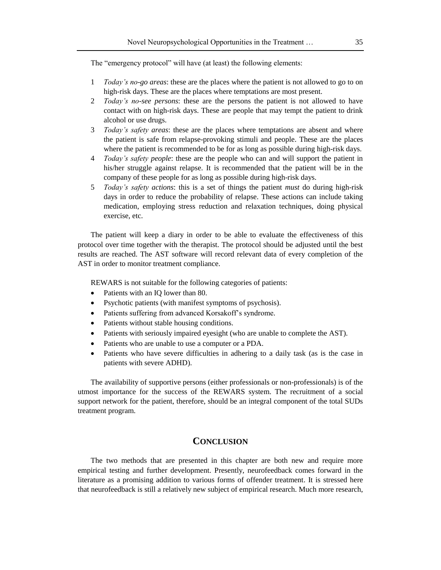The "emergency protocol" will have (at least) the following elements:

- 1 *Today's no-go areas*: these are the places where the patient is not allowed to go to on high-risk days. These are the places where temptations are most present.
- 2 *Today's no-see persons*: these are the persons the patient is not allowed to have contact with on high-risk days. These are people that may tempt the patient to drink alcohol or use drugs.
- 3 *Today's safety areas*: these are the places where temptations are absent and where the patient is safe from relapse-provoking stimuli and people. These are the places where the patient is recommended to be for as long as possible during high-risk days.
- 4 *Today's safety people*: these are the people who can and will support the patient in his/her struggle against relapse. It is recommended that the patient will be in the company of these people for as long as possible during high-risk days.
- 5 *Today's safety actions*: this is a set of things the patient *must* do during high-risk days in order to reduce the probability of relapse. These actions can include taking medication, employing stress reduction and relaxation techniques, doing physical exercise, etc.

The patient will keep a diary in order to be able to evaluate the effectiveness of this protocol over time together with the therapist. The protocol should be adjusted until the best results are reached. The AST software will record relevant data of every completion of the AST in order to monitor treatment compliance.

REWARS is not suitable for the following categories of patients:

- Patients with an IQ lower than 80.
- Psychotic patients (with manifest symptoms of psychosis).
- Patients suffering from advanced Korsakoff's syndrome.
- Patients without stable housing conditions.
- Patients with seriously impaired eyesight (who are unable to complete the AST).
- Patients who are unable to use a computer or a PDA.
- Patients who have severe difficulties in adhering to a daily task (as is the case in patients with severe ADHD).

The availability of supportive persons (either professionals or non-professionals) is of the utmost importance for the success of the REWARS system. The recruitment of a social support network for the patient, therefore, should be an integral component of the total SUDs treatment program.

# **CONCLUSION**

The two methods that are presented in this chapter are both new and require more empirical testing and further development. Presently, neurofeedback comes forward in the literature as a promising addition to various forms of offender treatment. It is stressed here that neurofeedback is still a relatively new subject of empirical research. Much more research,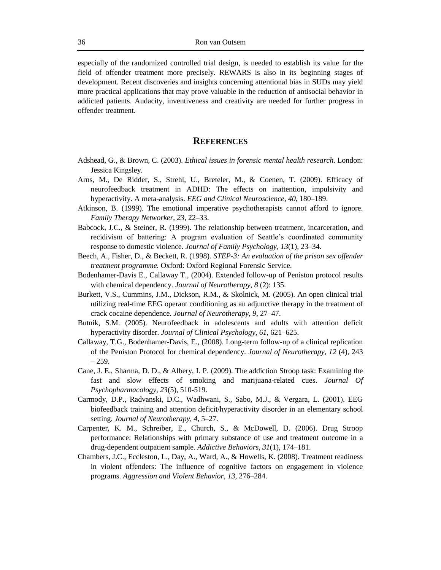especially of the randomized controlled trial design, is needed to establish its value for the field of offender treatment more precisely. REWARS is also in its beginning stages of development. Recent discoveries and insights concerning attentional bias in SUDs may yield more practical applications that may prove valuable in the reduction of antisocial behavior in addicted patients. Audacity, inventiveness and creativity are needed for further progress in offender treatment.

#### **REFERENCES**

- Adshead, G., & Brown, C. (2003). *Ethical issues in forensic mental health research*. London: Jessica Kingsley.
- Arns, M., De Ridder, S., Strehl, U., Breteler, M., & Coenen, T. (2009). Efficacy of neurofeedback treatment in ADHD: The effects on inattention, impulsivity and hyperactivity. A meta-analysis. *EEG and Clinical Neuroscience, 40*, 180–189.
- Atkinson, B. (1999). The emotional imperative psychotherapists cannot afford to ignore. *Family Therapy Networker, 23*, 22–33.
- Babcock, J.C., & Steiner, R. (1999). The relationship between treatment, incarceration, and recidivism of battering: A program evaluation of Seattle's coordinated community response to domestic violence. *Journal of Family Psychology, 13*(1), 23–34.
- Beech, A., Fisher, D., & Beckett, R. (1998). *STEP-3: An evaluation of the prison sex offender treatment programme.* Oxford: Oxford Regional Forensic Service.
- Bodenhamer-Davis E., Callaway T., (2004). Extended follow-up of Peniston protocol results with chemical dependency. *Journal of Neurotherapy, 8* (2): 135.
- Burkett, V.S., Cummins, J.M., Dickson, R.M., & Skolnick, M. (2005). An open clinical trial utilizing real-time EEG operant conditioning as an adjunctive therapy in the treatment of crack cocaine dependence. *Journal of Neurotherapy, 9*, 27–47.
- Butnik, S.M. (2005). Neurofeedback in adolescents and adults with attention deficit hyperactivity disorder. *Journal of Clinical Psychology, 61*, 621–625.
- Callaway, T.G., Bodenhamer-Davis, E., (2008). Long-term follow-up of a clinical replication of the Peniston Protocol for chemical dependency. *Journal of Neurotherapy, 12* (4), 243  $-259.$
- Cane, J. E., Sharma, D. D., & Albery, I. P. (2009). The addiction Stroop task: Examining the fast and slow effects of smoking and marijuana-related cues. *Journal Of Psychopharmacology, 23*(5), 510-519.
- Carmody, D.P., Radvanski, D.C., Wadhwani, S., Sabo, M.J., & Vergara, L. (2001). EEG biofeedback training and attention deficit/hyperactivity disorder in an elementary school setting. *Journal of Neurotherapy, 4*, 5–27.
- Carpenter, K. M., Schreiber, E., Church, S., & McDowell, D. (2006). Drug Stroop performance: Relationships with primary substance of use and treatment outcome in a drug-dependent outpatient sample. *Addictive Behaviors, 31*(1), 174–181.
- Chambers, J.C., Eccleston, L., Day, A., Ward, A., & Howells, K. (2008). Treatment readiness in violent offenders: The influence of cognitive factors on engagement in violence programs. *Aggression and Violent Behavior, 13*, 276–284.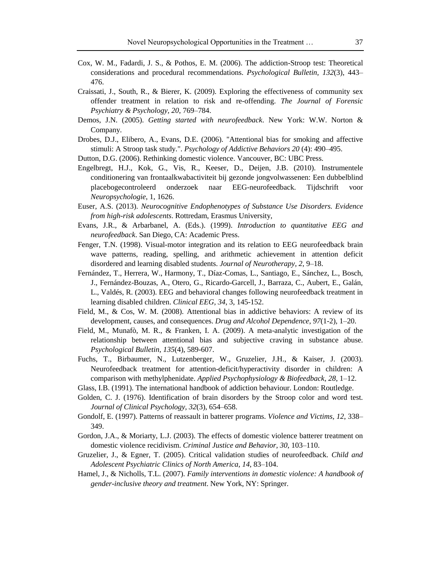- Cox, W. M., Fadardi, J. S., & Pothos, E. M. (2006). The addiction-Stroop test: Theoretical considerations and procedural recommendations. *Psychological Bulletin, 132*(3), 443– 476.
- Craissati, J., South, R., & Bierer, K. (2009). Exploring the effectiveness of community sex offender treatment in relation to risk and re-offending. *The Journal of Forensic Psychiatry & Psychology, 20*, 769–784.
- Demos, J.N. (2005). *Getting started with neurofeedback*. New York: W.W. Norton & Company.
- Drobes, D.J., Elibero, A., Evans, D.E. (2006). "Attentional bias for smoking and affective stimuli: A Stroop task study.". *Psychology of Addictive Behaviors 20* (4): 490–495.
- Dutton, D.G. (2006). Rethinking domestic violence. Vancouver, BC: UBC Press.
- Engelbregt, H.J., Kok, G., Vis, R., Keeser, D., Deijen, J.B. (2010). Instrumentele conditionering van frontaalkwabactiviteit bij gezonde jongvolwassenen: Een dubbelblind placebogecontroleerd onderzoek naar EEG-neurofeedback. Tijdschrift voor *Neuropsychologie*, 1, 1626.
- Euser, A.S. (2013). *Neurocognitive Endophenotypes of Substance Use Disorders. Evidence from high-risk adolescents*. Rottredam, Erasmus University,
- Evans, J.R., & Arbarbanel, A. (Eds.). (1999). *Introduction to quantitative EEG and neurofeedback*. San Diego, CA: Academic Press.
- Fenger, T.N. (1998). Visual-motor integration and its relation to EEG neurofeedback brain wave patterns, reading, spelling, and arithmetic achievement in attention deficit disordered and learning disabled students. *Journal of Neurotherapy, 2*, 9–18.
- Fernández, T., Herrera, W., Harmony, T., Díaz-Comas, L., Santiago, E., Sánchez, L., Bosch, J., Fernández-Bouzas, A., Otero, G., Ricardo-Garcell, J., Barraza, C., Aubert, E., Galán, L., Valdés, R. (2003). EEG and behavioral changes following neurofeedback treatment in learning disabled children. *Clinical EEG, 34*, 3, 145-152.
- Field, M., & Cos, W. M. (2008). Attentional bias in addictive behaviors: A review of its development, causes, and consequences. *Drug and Alcohol Dependence*, *97*(1-2)*,* 1–20.
- Field, M., Munafò, M. R., & Franken, I. A. (2009). A meta-analytic investigation of the relationship between attentional bias and subjective craving in substance abuse. *Psychological Bulletin, 135*(4), 589-607.
- Fuchs, T., Birbaumer, N., Lutzenberger, W., Gruzelier, J.H., & Kaiser, J. (2003). Neurofeedback treatment for attention-deficit/hyperactivity disorder in children: A comparison with methylphenidate. *Applied Psychophysiology & Biofeedback, 28*, 1–12.
- Glass, I.B. (1991). The international handbook of addiction behaviour. London: Routledge.
- Golden, C. J. (1976). Identification of brain disorders by the Stroop color and word test. *Journal of Clinical Psychology, 32*(3), 654–658.
- Gondolf, E. (1997). Patterns of reassault in batterer programs. *Violence and Victims, 12*, 338– 349.
- Gordon, J.A., & Moriarty, L.J. (2003). The effects of domestic violence batterer treatment on domestic violence recidivism. *Criminal Justice and Behavior, 30*, 103–110.
- Gruzelier, J., & Egner, T. (2005). Critical validation studies of neurofeedback. *Child and Adolescent Psychiatric Clinics of North America, 14*, 83–104.
- Hamel, J., & Nicholls, T.L. (2007). *Family interventions in domestic violence: A handbook of gender-inclusive theory and treatment*. New York, NY: Springer.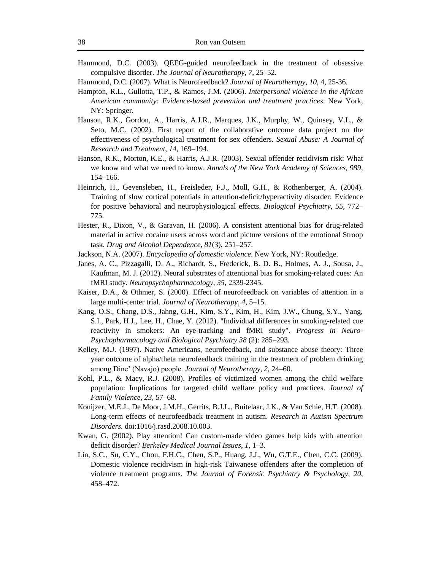- Hammond, D.C. (2003). QEEG-guided neurofeedback in the treatment of obsessive compulsive disorder. *The Journal of Neurotherapy, 7*, 25–52.
- Hammond, D.C. (2007). What is Neurofeedback? *Journal of Neurotherapy, 10*, 4, 25-36.
- Hampton, R.L., Gullotta, T.P., & Ramos, J.M. (2006). *Interpersonal violence in the African American community: Evidence-based prevention and treatment practices*. New York, NY: Springer.
- Hanson, R.K., Gordon, A., Harris, A.J.R., Marques, J.K., Murphy, W., Quinsey, V.L., & Seto, M.C. (2002). First report of the collaborative outcome data project on the effectiveness of psychological treatment for sex offenders. *Sexual Abuse: A Journal of Research and Treatment, 14*, 169–194.
- Hanson, R.K., Morton, K.E., & Harris, A.J.R. (2003). Sexual offender recidivism risk: What we know and what we need to know. *Annals of the New York Academy of Sciences, 989*, 154–166.
- Heinrich, H., Gevensleben, H., Freisleder, F.J., Moll, G.H., & Rothenberger, A. (2004). Training of slow cortical potentials in attention-deficit/hyperactivity disorder: Evidence for positive behavioral and neurophysiological effects. *Biological Psychiatry, 55*, 772– 775.
- Hester, R., Dixon, V., & Garavan, H. (2006). A consistent attentional bias for drug-related material in active cocaine users across word and picture versions of the emotional Stroop task. *Drug and Alcohol Dependence*, *81*(3), 251–257.
- Jackson, N.A. (2007). *Encyclopedia of domestic violence*. New York, NY: Routledge.
- Janes, A. C., Pizzagalli, D. A., Richardt, S., Frederick, B. D. B., Holmes, A. J., Sousa, J., Kaufman, M. J. (2012). Neural substrates of attentional bias for smoking-related cues: An fMRI study. *Neuropsychopharmacology, 35*, 2339-2345.
- Kaiser, D.A., & Othmer, S. (2000). Effect of neurofeedback on variables of attention in a large multi-center trial. *Journal of Neurotherapy, 4*, 5–15.
- Kang, O.S., Chang, D.S., Jahng, G.H., Kim, S.Y., Kim, H., Kim, J.W., Chung, S.Y., Yang, S.I., Park, H.J., Lee, H., Chae, Y. (2012). "Individual differences in smoking-related cue reactivity in smokers: An eye-tracking and fMRI study". *Progress in Neuro-Psychopharmacology and Biological Psychiatry 38* (2): 285–293.
- Kelley, M.J. (1997). Native Americans, neurofeedback, and substance abuse theory: Three year outcome of alpha/theta neurofeedback training in the treatment of problem drinking among Dine' (Navajo) people. *Journal of Neurotherapy, 2*, 24–60.
- Kohl, P.L., & Macy, R.J. (2008). Profiles of victimized women among the child welfare population: Implications for targeted child welfare policy and practices. *Journal of Family Violence, 23*, 57–68.
- Kouijzer, M.E.J., De Moor, J.M.H., Gerrits, B.J.L., Buitelaar, J.K., & Van Schie, H.T. (2008). Long-term effects of neurofeedback treatment in autism. *Research in Autism Spectrum Disorders.* doi:1016/j.rasd.2008.10.003.
- Kwan, G. (2002). Play attention! Can custom-made video games help kids with attention deficit disorder? *Berkeley Medical Journal Issues, 1*, 1–3.
- Lin, S.C., Su, C.Y., Chou, F.H.C., Chen, S.P., Huang, J.J., Wu, G.T.E., Chen, C.C. (2009). Domestic violence recidivism in high-risk Taiwanese offenders after the completion of violence treatment programs. *The Journal of Forensic Psychiatry & Psychology, 20*, 458–472.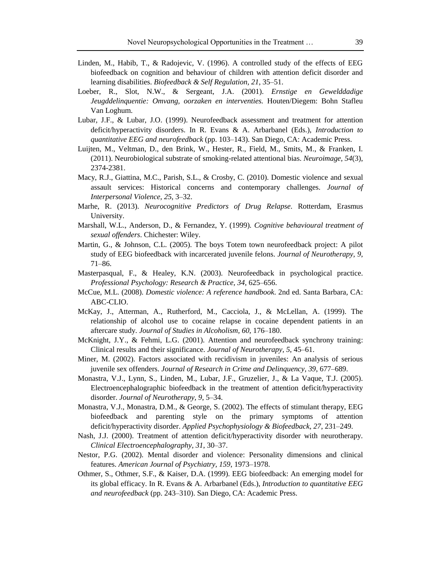- Linden, M., Habib, T., & Radojevic, V. (1996). A controlled study of the effects of EEG biofeedback on cognition and behaviour of children with attention deficit disorder and learning disabilities. *Biofeedback & Self Regulation, 21*, 35–51.
- Loeber, R., Slot, N.W., & Sergeant, J.A. (2001). *Ernstige en Gewelddadige Jeugddelinquentie: Omvang, oorzaken en interventies.* Houten/Diegem: Bohn Stafleu Van Loghum.
- Lubar, J.F., & Lubar, J.O. (1999). Neurofeedback assessment and treatment for attention deficit/hyperactivity disorders. In R. Evans & A. Arbarbanel (Eds.), *Introduction to quantitative EEG and neurofeedback* (pp. 103–143). San Diego, CA: Academic Press.
- Luijten, M., Veltman, D., den Brink, W., Hester, R., Field, M., Smits, M., & Franken, I. (2011). Neurobiological substrate of smoking-related attentional bias. *Neuroimage, 54*(3), 2374-2381.
- Macy, R.J., Giattina, M.C., Parish, S.L., & Crosby, C. (2010). Domestic violence and sexual assault services: Historical concerns and contemporary challenges. *Journal of Interpersonal Violence, 25*, 3–32.
- Marhe, R. (2013). *Neurocognitive Predictors of Drug Relapse*. Rotterdam, Erasmus University.
- Marshall, W.L., Anderson, D., & Fernandez, Y. (1999). *Cognitive behavioural treatment of sexual offenders*. Chichester: Wiley.
- Martin, G., & Johnson, C.L. (2005). The boys Totem town neurofeedback project: A pilot study of EEG biofeedback with incarcerated juvenile felons. *Journal of Neurotherapy, 9*, 71–86.
- Masterpasqual, F., & Healey, K.N. (2003). Neurofeedback in psychological practice. *Professional Psychology: Research & Practice, 34*, 625–656.
- McCue, M.L. (2008). *Domestic violence: A reference handbook*. 2nd ed. Santa Barbara, CA: ABC-CLIO.
- McKay, J., Atterman, A., Rutherford, M., Cacciola, J., & McLellan, A. (1999). The relationship of alcohol use to cocaine relapse in cocaine dependent patients in an aftercare study. *Journal of Studies in Alcoholism, 60*, 176–180.
- McKnight, J.Y., & Fehmi, L.G. (2001). Attention and neurofeedback synchrony training: Clinical results and their significance. *Journal of Neurotherapy, 5*, 45–61.
- Miner, M. (2002). Factors associated with recidivism in juveniles: An analysis of serious juvenile sex offenders. *Journal of Research in Crime and Delinquency, 39*, 677–689.
- Monastra, V.J., Lynn, S., Linden, M., Lubar, J.F., Gruzelier, J., & La Vaque, T.J. (2005). Electroencephalographic biofeedback in the treatment of attention deficit/hyperactivity disorder. *Journal of Neurotherapy, 9*, 5–34.
- Monastra, V.J., Monastra, D.M., & George, S. (2002). The effects of stimulant therapy, EEG biofeedback and parenting style on the primary symptoms of attention deficit/hyperactivity disorder. *Applied Psychophysiology & Biofeedback, 27*, 231–249.
- Nash, J.J. (2000). Treatment of attention deficit/hyperactivity disorder with neurotherapy. *Clinical Electroencephalography, 31*, 30–37.
- Nestor, P.G. (2002). Mental disorder and violence: Personality dimensions and clinical features. *American Journal of Psychiatry, 159*, 1973–1978.
- Othmer, S., Othmer, S.F., & Kaiser, D.A. (1999). EEG biofeedback: An emerging model for its global efficacy. In R. Evans & A. Arbarbanel (Eds.), *Introduction to quantitative EEG and neurofeedback* (pp. 243–310). San Diego, CA: Academic Press.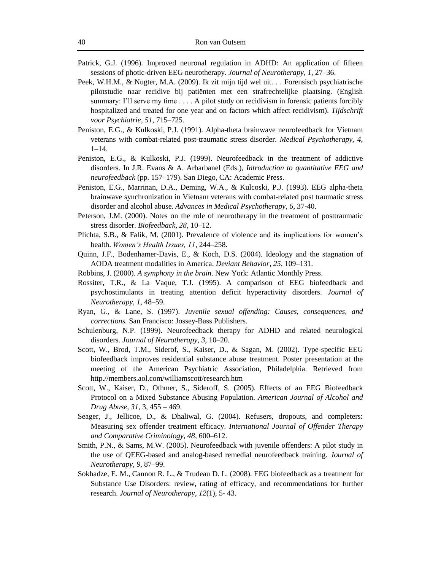- Patrick, G.J. (1996). Improved neuronal regulation in ADHD: An application of fifteen sessions of photic-driven EEG neurotherapy. *Journal of Neurotherapy, 1*, 27–36.
- Peek, W.H.M., & Nugter, M.A. (2009). Ik zit mijn tijd wel uit. . . Forensisch psychiatrische pilotstudie naar recidive bij patiënten met een strafrechtelijke plaatsing. (English summary: I'll serve my time  $\dots$  A pilot study on recidivism in forensic patients forcibly hospitalized and treated for one year and on factors which affect recidivism). *Tijdschrift voor Psychiatrie, 51*, 715–725.
- Peniston, E.G., & Kulkoski, P.J. (1991). Alpha-theta brainwave neurofeedback for Vietnam veterans with combat-related post-traumatic stress disorder. *Medical Psychotherapy, 4*, 1–14.
- Peniston, E.G., & Kulkoski, P.J. (1999). Neurofeedback in the treatment of addictive disorders. In J.R. Evans & A. Arbarbanel (Eds.), *Introduction to quantitative EEG and neurofeedback* (pp. 157–179). San Diego, CA: Academic Press.
- Peniston, E.G., Marrinan, D.A., Deming, W.A., & Kulcoski, P.J. (1993). EEG alpha-theta brainwave synchronization in Vietnam veterans with combat-related post traumatic stress disorder and alcohol abuse. *Advances in Medical Psychotherapy, 6*, 37-40.
- Peterson, J.M. (2000). Notes on the role of neurotherapy in the treatment of posttraumatic stress disorder. *Biofeedback, 28*, 10–12.
- Plichta, S.B., & Falik, M. (2001). Prevalence of violence and its implications for women's health. *Women's Health Issues, 11*, 244–258.
- Quinn, J.F., Bodenhamer-Davis, E., & Koch, D.S. (2004). Ideology and the stagnation of AODA treatment modalities in America. *Deviant Behavior, 25*, 109–131.
- Robbins, J. (2000). *A symphony in the brain*. New York: Atlantic Monthly Press.
- Rossiter, T.R., & La Vaque, T.J. (1995). A comparison of EEG biofeedback and psychostimulants in treating attention deficit hyperactivity disorders. *Journal of Neurotherapy, 1*, 48–59.
- Ryan, G., & Lane, S. (1997). *Juvenile sexual offending: Causes, consequences, and corrections.* San Francisco: Jossey-Bass Publishers.
- Schulenburg, N.P. (1999). Neurofeedback therapy for ADHD and related neurological disorders. *Journal of Neurotherapy, 3*, 10–20.
- Scott, W., Brod, T.M., Siderof, S., Kaiser, D., & Sagan, M. (2002). Type-specific EEG biofeedback improves residential substance abuse treatment. Poster presentation at the meeting of the American Psychiatric Association, Philadelphia. Retrieved from http.//members.aol.com/williamscott/research.htm
- Scott, W., Kaiser, D., Othmer, S., Sideroff, S. (2005). Effects of an EEG Biofeedback Protocol on a Mixed Substance Abusing Population. *American Journal of Alcohol and Drug Abuse, 31*, 3, 455 – 469.
- Seager, J., Jellicoe, D., & Dhaliwal, G. (2004). Refusers, dropouts, and completers: Measuring sex offender treatment efficacy. *International Journal of Offender Therapy and Comparative Criminology, 48*, 600–612.
- Smith, P.N., & Sams, M.W. (2005). Neurofeedback with juvenile offenders: A pilot study in the use of QEEG-based and analog-based remedial neurofeedback training. *Journal of Neurotherapy, 9*, 87–99.
- Sokhadze, E. M., Cannon R. L., & Trudeau D. L. (2008). EEG biofeedback as a treatment for Substance Use Disorders: review, rating of efficacy, and recommendations for further research. *Journal of Neurotherapy, 12*(1), 5- 43.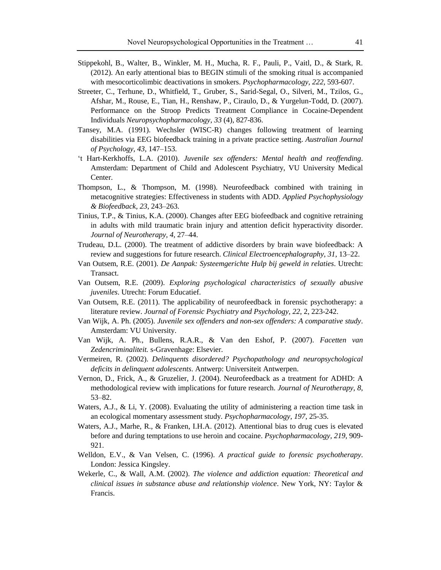- Stippekohl, B., Walter, B., Winkler, M. H., Mucha, R. F., Pauli, P., Vaitl, D., & Stark, R. (2012). An early attentional bias to BEGIN stimuli of the smoking ritual is accompanied with mesocorticolimbic deactivations in smokers. *Psychopharmacology, 222*, 593-607.
- Streeter, C., Terhune, D., Whitfield, T., Gruber, S., Sarid-Segal, O., Silveri, M., Tzilos, G., Afshar, M., Rouse, E., Tian, H., Renshaw, P., Ciraulo, D., & Yurgelun-Todd, D. (2007). Performance on the Stroop Predicts Treatment Compliance in Cocaine-Dependent Individuals *Neuropsychopharmacology, 33* (4), 827-836.
- Tansey, M.A. (1991). Wechsler (WISC-R) changes following treatment of learning disabilities via EEG biofeedback training in a private practice setting. *Australian Journal of Psychology, 43*, 147–153.
- ‗t Hart-Kerkhoffs, L.A. (2010). *Juvenile sex offenders: Mental health and reoffending*. Amsterdam: Department of Child and Adolescent Psychiatry, VU University Medical Center.
- Thompson, L., & Thompson, M. (1998). Neurofeedback combined with training in metacognitive strategies: Effectiveness in students with ADD. *Applied Psychophysiology & Biofeedback, 23*, 243–263.
- Tinius, T.P., & Tinius, K.A. (2000). Changes after EEG biofeedback and cognitive retraining in adults with mild traumatic brain injury and attention deficit hyperactivity disorder. *Journal of Neurotherapy, 4*, 27–44.
- Trudeau, D.L. (2000). The treatment of addictive disorders by brain wave biofeedback: A review and suggestions for future research. *Clinical Electroencephalography, 31*, 13–22.
- Van Outsem, R.E. (2001). *De Aanpak: Systeemgerichte Hulp bij geweld in relaties*. Utrecht: Transact.
- Van Outsem, R.E. (2009). *Exploring psychological characteristics of sexually abusive juveniles*. Utrecht: Forum Educatief.
- Van Outsem, R.E. (2011). The applicability of neurofeedback in forensic psychotherapy: a literature review. *Journal of Forensic Psychiatry and Psychology, 22*, 2, 223-242.
- Van Wijk, A. Ph. (2005). *Juvenile sex offenders and non-sex offenders: A comparative study*. Amsterdam: VU University.
- Van Wijk, A. Ph., Bullens, R.A.R., & Van den Eshof, P. (2007). *Facetten van Zedencriminaliteit.* s-Gravenhage: Elsevier.
- Vermeiren, R. (2002). *Delinquents disordered? Psychopathology and neuropsychological deficits in delinquent adolescents*. Antwerp: Universiteit Antwerpen.
- Vernon, D., Frick, A., & Gruzelier, J. (2004). Neurofeedback as a treatment for ADHD: A methodological review with implications for future research. *Journal of Neurotherapy, 8*, 53–82.
- Waters, A.J., & Li, Y. (2008). Evaluating the utility of administering a reaction time task in an ecological momentary assessment study. *Psychopharmacology, 197*, 25-35.
- Waters, A.J., Marhe, R., & Franken, I.H.A. (2012). Attentional bias to drug cues is elevated before and during temptations to use heroin and cocaine. *Psychopharmacology, 219*, 909- 921.
- Welldon, E.V., & Van Velsen, C. (1996). *A practical guide to forensic psychotherapy*. London: Jessica Kingsley.
- Wekerle, C., & Wall, A.M. (2002). *The violence and addiction equation: Theoretical and clinical issues in substance abuse and relationship violence*. New York, NY: Taylor & Francis.